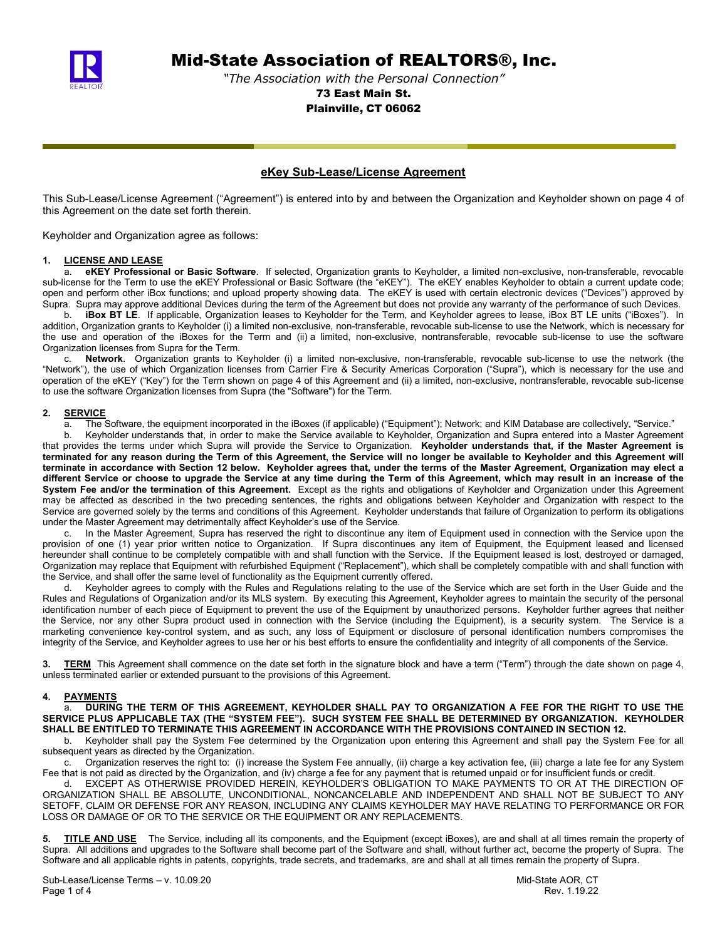

Mid-State Association of REALTORS®, Inc.

*"The Association with the Personal Connection"* 73 East Main St. Plainville, CT 06062

### **eKey Sub-Lease/License Agreement**

This Sub-Lease/License Agreement ("Agreement") is entered into by and between the Organization and Keyholder shown on page 4 of this Agreement on the date set forth therein.

Keyholder and Organization agree as follows:

## **1. LICENSE AND LEASE**

a. **eKEY Professional or Basic Software**. If selected, Organization grants to Keyholder, a limited non-exclusive, non-transferable, revocable sub-license for the Term to use the eKEY Professional or Basic Software (the "eKEY"). The eKEY enables Keyholder to obtain a current update code; open and perform other iBox functions; and upload property showing data. The eKEY is used with certain electronic devices ("Devices") approved by Supra. Supra may approve additional Devices during the term of the Agreement but does not provide any warranty of the performance of such Devices.

b. **iBox BT LE**. If applicable, Organization leases to Keyholder for the Term, and Keyholder agrees to lease, iBox BT LE units ("iBoxes"). In addition, Organization grants to Keyholder (i) a limited non-exclusive, non-transferable, revocable sub-license to use the Network, which is necessary for the use and operation of the iBoxes for the Term and (ii) a limited, non-exclusive, nontransferable, revocable sub-license to use the software Organization licenses from Supra for the Term.

c. **Network**. Organization grants to Keyholder (i) a limited non-exclusive, non-transferable, revocable sub-license to use the network (the "Network"), the use of which Organization licenses from Carrier Fire & Security Americas Corporation ("Supra"), which is necessary for the use and operation of the eKEY ("Key") for the Term shown on page 4 of this Agreement and (ii) a limited, non-exclusive, nontransferable, revocable sub-license to use the software Organization licenses from Supra (the "Software") for the Term.

#### **2. SERVICE**

a. The Software, the equipment incorporated in the iBoxes (if applicable) ("Equipment"); Network; and KIM Database are collectively, "Service."

b. Keyholder understands that, in order to make the Service available to Keyholder, Organization and Supra entered into a Master Agreement that provides the terms under which Supra will provide the Service to Organization. **Keyholder understands that, if the Master Agreement is terminated for any reason during the Term of this Agreement, the Service will no longer be available to Keyholder and this Agreement will terminate in accordance with Section 12 below. Keyholder agrees that, under the terms of the Master Agreement, Organization may elect a different Service or choose to upgrade the Service at any time during the Term of this Agreement, which may result in an increase of the System Fee and/or the termination of this Agreement.** Except as the rights and obligations of Keyholder and Organization under this Agreement may be affected as described in the two preceding sentences, the rights and obligations between Keyholder and Organization with respect to the Service are governed solely by the terms and conditions of this Agreement. Keyholder understands that failure of Organization to perform its obligations under the Master Agreement may detrimentally affect Keyholder's use of the Service.

c. In the Master Agreement, Supra has reserved the right to discontinue any item of Equipment used in connection with the Service upon the provision of one (1) year prior written notice to Organization. If Supra discontinues any item of Equipment, the Equipment leased and licensed hereunder shall continue to be completely compatible with and shall function with the Service. If the Equipment leased is lost, destroyed or damaged, Organization may replace that Equipment with refurbished Equipment ("Replacement"), which shall be completely compatible with and shall function with the Service, and shall offer the same level of functionality as the Equipment currently offered.

d. Keyholder agrees to comply with the Rules and Regulations relating to the use of the Service which are set forth in the User Guide and the Rules and Regulations of Organization and/or its MLS system. By executing this Agreement, Keyholder agrees to maintain the security of the personal identification number of each piece of Equipment to prevent the use of the Equipment by unauthorized persons. Keyholder further agrees that neither the Service, nor any other Supra product used in connection with the Service (including the Equipment), is a security system. The Service is a marketing convenience key-control system, and as such, any loss of Equipment or disclosure of personal identification numbers compromises the integrity of the Service, and Keyholder agrees to use her or his best efforts to ensure the confidentiality and integrity of all components of the Service.

**3. TERM** This Agreement shall commence on the date set forth in the signature block and have a term ("Term") through the date shown on page 4, unless terminated earlier or extended pursuant to the provisions of this Agreement.

#### **4. PAYMENTS**

a. **DURING THE TERM OF THIS AGREEMENT, KEYHOLDER SHALL PAY TO ORGANIZATION A FEE FOR THE RIGHT TO USE THE SERVICE PLUS APPLICABLE TAX (THE "SYSTEM FEE"). SUCH SYSTEM FEE SHALL BE DETERMINED BY ORGANIZATION. KEYHOLDER SHALL BE ENTITLED TO TERMINATE THIS AGREEMENT IN ACCORDANCE WITH THE PROVISIONS CONTAINED IN SECTION 12.**<br>b. Keyholder shall pay the System Fee determined by the Organization upon entering this Agreement and shall pay the

b. Keyholder shall pay the System Fee determined by the Organization upon entering this Agreement and shall pay the System Fee for all subsequent years as directed by the Organization.

c. Organization reserves the right to: (i) increase the System Fee annually, (ii) charge a key activation fee, (iii) charge a late fee for any System Fee that is not paid as directed by the Organization, and (iv) charge a fee for any payment that is returned unpaid or for insufficient funds or credit.

d. EXCEPT AS OTHERWISE PROVIDED HEREIN, KEYHOLDER'S OBLIGATION TO MAKE PAYMENTS TO OR AT THE DIRECTION OF ORGANIZATION SHALL BE ABSOLUTE, UNCONDITIONAL, NONCANCELABLE AND INDEPENDENT AND SHALL NOT BE SUBJECT TO ANY SETOFF, CLAIM OR DEFENSE FOR ANY REASON, INCLUDING ANY CLAIMS KEYHOLDER MAY HAVE RELATING TO PERFORMANCE OR FOR LOSS OR DAMAGE OF OR TO THE SERVICE OR THE EQUIPMENT OR ANY REPLACEMENTS.

**5. TITLE AND USE** The Service, including all its components, and the Equipment (except iBoxes), are and shall at all times remain the property of Supra. All additions and upgrades to the Software shall become part of the Software and shall, without further act, become the property of Supra. The Software and all applicable rights in patents, copyrights, trade secrets, and trademarks, are and shall at all times remain the property of Supra.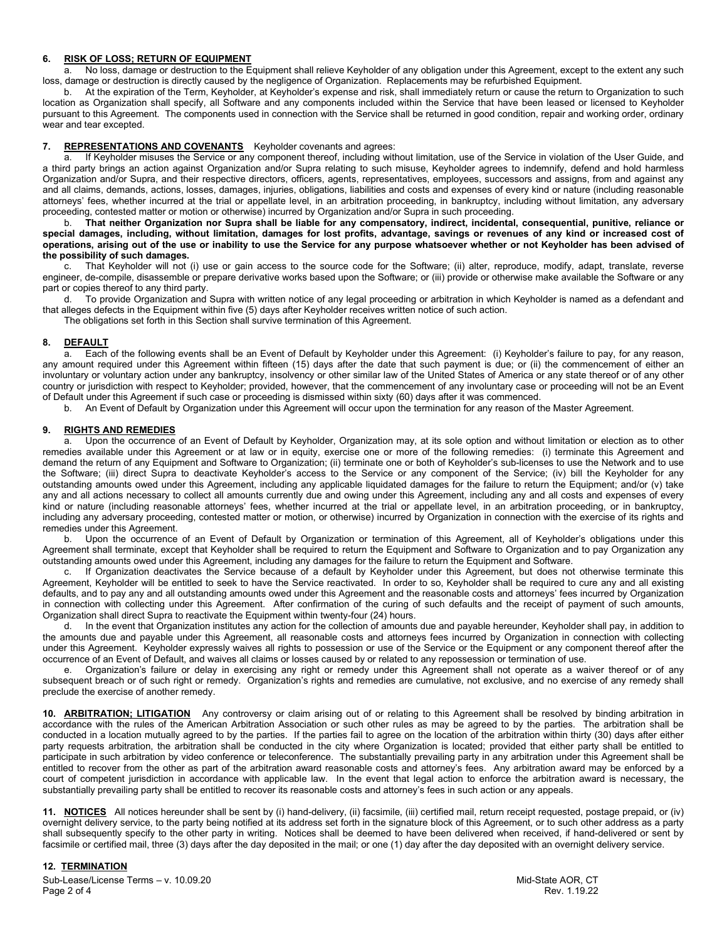# **6. RISK OF LOSS; RETURN OF EQUIPMENT**<br>**a.** No loss, damage or destruction to the E

No loss, damage or destruction to the Equipment shall relieve Keyholder of any obligation under this Agreement, except to the extent any such loss, damage or destruction is directly caused by the negligence of Organization. Replacements may be refurbished Equipment.

b. At the expiration of the Term, Keyholder, at Keyholder's expense and risk, shall immediately return or cause the return to Organization to such location as Organization shall specify, all Software and any components included within the Service that have been leased or licensed to Keyholder pursuant to this Agreement. The components used in connection with the Service shall be returned in good condition, repair and working order, ordinary wear and tear excepted.

#### **7. REPRESENTATIONS AND COVENANTS** Keyholder covenants and agrees:

a. If Keyholder misuses the Service or any component thereof, including without limitation, use of the Service in violation of the User Guide, and a third party brings an action against Organization and/or Supra relating to such misuse, Keyholder agrees to indemnify, defend and hold harmless Organization and/or Supra, and their respective directors, officers, agents, representatives, employees, successors and assigns, from and against any and all claims, demands, actions, losses, damages, injuries, obligations, liabilities and costs and expenses of every kind or nature (including reasonable attorneys' fees, whether incurred at the trial or appellate level, in an arbitration proceeding, in bankruptcy, including without limitation, any adversary proceeding, contested matter or motion or otherwise) incurred by Organization and/or Supra in such proceeding.

b. **That neither Organization nor Supra shall be liable for any compensatory, indirect, incidental, consequential, punitive, reliance or special damages, including, without limitation, damages for lost profits, advantage, savings or revenues of any kind or increased cost of operations, arising out of the use or inability to use the Service for any purpose whatsoever whether or not Keyholder has been advised of the possibility of such damages.**

c. That Keyholder will not (i) use or gain access to the source code for the Software; (ii) alter, reproduce, modify, adapt, translate, reverse engineer, de-compile, disassemble or prepare derivative works based upon the Software; or (iii) provide or otherwise make available the Software or any part or copies thereof to any third party.

d. To provide Organization and Supra with written notice of any legal proceeding or arbitration in which Keyholder is named as a defendant and that alleges defects in the Equipment within five (5) days after Keyholder receives written notice of such action.

The obligations set forth in this Section shall survive termination of this Agreement.

#### **8. DEFAULT**

a. Each of the following events shall be an Event of Default by Keyholder under this Agreement: (i) Keyholder's failure to pay, for any reason, any amount required under this Agreement within fifteen (15) days after the date that such payment is due; or (ii) the commencement of either an involuntary or voluntary action under any bankruptcy, insolvency or other similar law of the United States of America or any state thereof or of any other country or jurisdiction with respect to Keyholder; provided, however, that the commencement of any involuntary case or proceeding will not be an Event of Default under this Agreement if such case or proceeding is dismissed within sixty (60) days after it was commenced.

b. An Event of Default by Organization under this Agreement will occur upon the termination for any reason of the Master Agreement.

# **9. RIGHTS AND REMEDIES**

Upon the occurrence of an Event of Default by Keyholder, Organization may, at its sole option and without limitation or election as to other remedies available under this Agreement or at law or in equity, exercise one or more of the following remedies: (i) terminate this Agreement and demand the return of any Equipment and Software to Organization; (ii) terminate one or both of Keyholder's sub-licenses to use the Network and to use the Software; (iii) direct Supra to deactivate Keyholder's access to the Service or any component of the Service; (iv) bill the Keyholder for any outstanding amounts owed under this Agreement, including any applicable liquidated damages for the failure to return the Equipment; and/or (v) take any and all actions necessary to collect all amounts currently due and owing under this Agreement, including any and all costs and expenses of every kind or nature (including reasonable attorneys' fees, whether incurred at the trial or appellate level, in an arbitration proceeding, or in bankruptcy, including any adversary proceeding, contested matter or motion, or otherwise) incurred by Organization in connection with the exercise of its rights and remedies under this Agreement.

b. Upon the occurrence of an Event of Default by Organization or termination of this Agreement, all of Keyholder's obligations under this Agreement shall terminate, except that Keyholder shall be required to return the Equipment and Software to Organization and to pay Organization any outstanding amounts owed under this Agreement, including any damages for the failure to return the Equipment and Software.

c. If Organization deactivates the Service because of a default by Keyholder under this Agreement, but does not otherwise terminate this Agreement, Keyholder will be entitled to seek to have the Service reactivated. In order to so, Keyholder shall be required to cure any and all existing defaults, and to pay any and all outstanding amounts owed under this Agreement and the reasonable costs and attorneys' fees incurred by Organization in connection with collecting under this Agreement. After confirmation of the curing of such defaults and the receipt of payment of such amounts, Organization shall direct Supra to reactivate the Equipment within twenty-four (24) hours.

d. In the event that Organization institutes any action for the collection of amounts due and payable hereunder, Keyholder shall pay, in addition to the amounts due and payable under this Agreement, all reasonable costs and attorneys fees incurred by Organization in connection with collecting under this Agreement. Keyholder expressly waives all rights to possession or use of the Service or the Equipment or any component thereof after the occurrence of an Event of Default, and waives all claims or losses caused by or related to any repossession or termination of use.<br>By proposition of the contraction's failure or delay in exercising any right or remedy unde

Organization's failure or delay in exercising any right or remedy under this Agreement shall not operate as a waiver thereof or of any subsequent breach or of such right or remedy. Organization's rights and remedies are cumulative, not exclusive, and no exercise of any remedy shall preclude the exercise of another remedy.

**10. ARBITRATION; LITIGATION** Any controversy or claim arising out of or relating to this Agreement shall be resolved by binding arbitration in accordance with the rules of the American Arbitration Association or such other rules as may be agreed to by the parties. The arbitration shall be conducted in a location mutually agreed to by the parties. If the parties fail to agree on the location of the arbitration within thirty (30) days after either party requests arbitration, the arbitration shall be conducted in the city where Organization is located; provided that either party shall be entitled to participate in such arbitration by video conference or teleconference. The substantially prevailing party in any arbitration under this Agreement shall be entitled to recover from the other as part of the arbitration award reasonable costs and attorney's fees. Any arbitration award may be enforced by a court of competent jurisdiction in accordance with applicable law. In the event that legal action to enforce the arbitration award is necessary, the substantially prevailing party shall be entitled to recover its reasonable costs and attorney's fees in such action or any appeals.

**11. NOTICES** All notices hereunder shall be sent by (i) hand-delivery, (ii) facsimile, (iii) certified mail, return receipt requested, postage prepaid, or (iv) overnight delivery service, to the party being notified at its address set forth in the signature block of this Agreement, or to such other address as a party shall subsequently specify to the other party in writing. Notices shall be deemed to have been delivered when received, if hand-delivered or sent by facsimile or certified mail, three (3) days after the day deposited in the mail; or one (1) day after the day deposited with an overnight delivery service.

#### **12. TERMINATION**

Sub-Lease/License Terms – v. 10.09.20 and the state AOR, CT state AOR, CT state AOR, CT Page 2 of 4 Rev. 1.19.22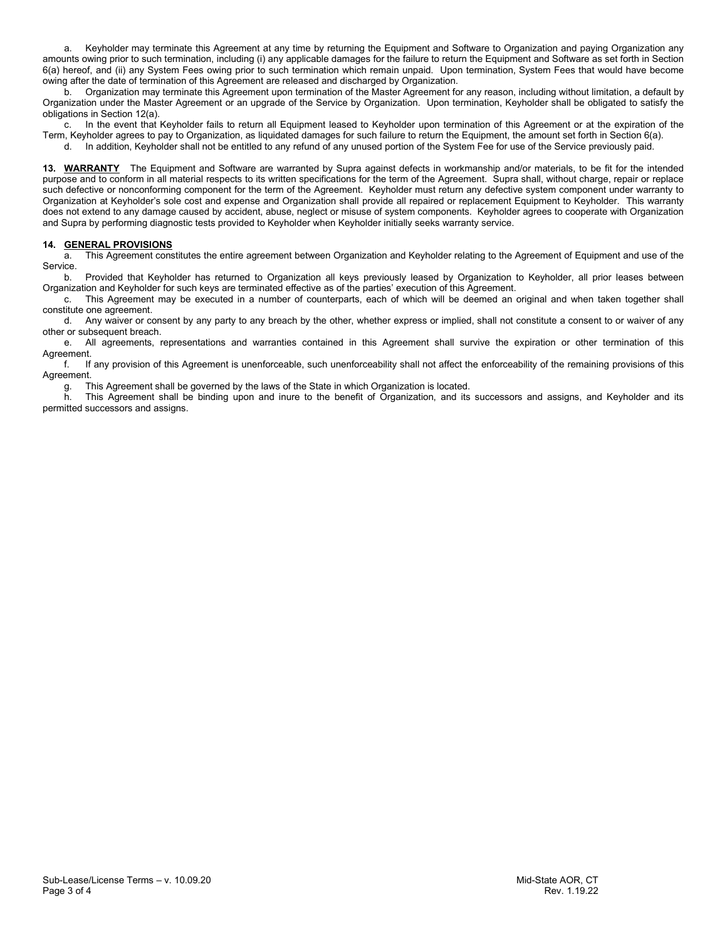a. Keyholder may terminate this Agreement at any time by returning the Equipment and Software to Organization and paying Organization any amounts owing prior to such termination, including (i) any applicable damages for the failure to return the Equipment and Software as set forth in Section 6(a) hereof, and (ii) any System Fees owing prior to such termination which remain unpaid. Upon termination, System Fees that would have become owing after the date of termination of this Agreement are released and discharged by Organization.

b. Organization may terminate this Agreement upon termination of the Master Agreement for any reason, including without limitation, a default by Organization under the Master Agreement or an upgrade of the Service by Organization. Upon termination, Keyholder shall be obligated to satisfy the obligations in Section 12(a).

c. In the event that Keyholder fails to return all Equipment leased to Keyholder upon termination of this Agreement or at the expiration of the Term, Keyholder agrees to pay to Organization, as liquidated damages for such failure to return the Equipment, the amount set forth in Section 6(a).

d. In addition, Keyholder shall not be entitled to any refund of any unused portion of the System Fee for use of the Service previously paid.

**13. WARRANTY** The Equipment and Software are warranted by Supra against defects in workmanship and/or materials, to be fit for the intended purpose and to conform in all material respects to its written specifications for the term of the Agreement. Supra shall, without charge, repair or replace such defective or nonconforming component for the term of the Agreement. Keyholder must return any defective system component under warranty to Organization at Keyholder's sole cost and expense and Organization shall provide all repaired or replacement Equipment to Keyholder. This warranty does not extend to any damage caused by accident, abuse, neglect or misuse of system components. Keyholder agrees to cooperate with Organization and Supra by performing diagnostic tests provided to Keyholder when Keyholder initially seeks warranty service.

#### **14. GENERAL PROVISIONS**

a. This Agreement constitutes the entire agreement between Organization and Keyholder relating to the Agreement of Equipment and use of the Service.

b. Provided that Keyholder has returned to Organization all keys previously leased by Organization to Keyholder, all prior leases between Organization and Keyholder for such keys are terminated effective as of the parties' execution of this Agreement.

c. This Agreement may be executed in a number of counterparts, each of which will be deemed an original and when taken together shall constitute one agreement.

d. Any waiver or consent by any party to any breach by the other, whether express or implied, shall not constitute a consent to or waiver of any other or subsequent breach.

e. All agreements, representations and warranties contained in this Agreement shall survive the expiration or other termination of this Agreement.

f. If any provision of this Agreement is unenforceable, such unenforceability shall not affect the enforceability of the remaining provisions of this Agreement.

g. This Agreement shall be governed by the laws of the State in which Organization is located.

h. This Agreement shall be binding upon and inure to the benefit of Organization, and its successors and assigns, and Keyholder and its permitted successors and assigns.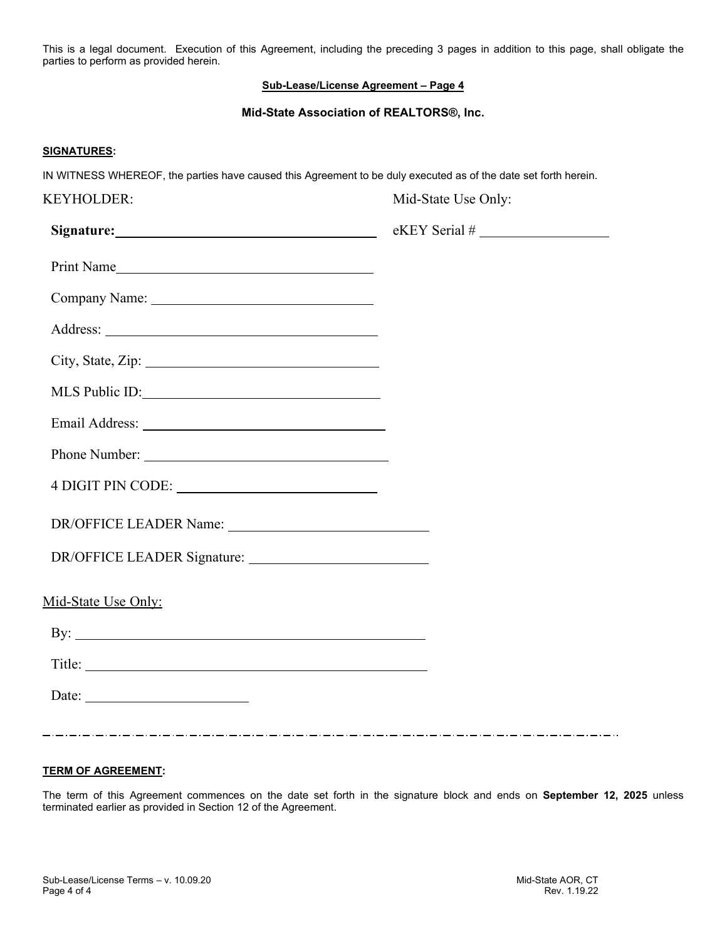This is a legal document. Execution of this Agreement, including the preceding 3 pages in addition to this page, shall obligate the parties to perform as provided herein.

# **Sub-Lease/License Agreement – Page 4**

## **Mid-State Association of REALTORS®, Inc.**

# **SIGNATURES:**

IN WITNESS WHEREOF, the parties have caused this Agreement to be duly executed as of the date set forth herein.

| <b>KEYHOLDER:</b>         | Mid-State Use Only: |  |
|---------------------------|---------------------|--|
| Signature: Signature:     | $eKEY$ Serial #     |  |
| Print Name                |                     |  |
|                           |                     |  |
|                           |                     |  |
|                           |                     |  |
| MLS Public ID:            |                     |  |
|                           |                     |  |
| Phone Number:             |                     |  |
|                           |                     |  |
|                           |                     |  |
|                           |                     |  |
| Mid-State Use Only:       |                     |  |
| $\mathbf{B} \mathbf{y}$ : |                     |  |
|                           |                     |  |
| Date: $\qquad \qquad$     |                     |  |
|                           |                     |  |

## **TERM OF AGREEMENT:**

The term of this Agreement commences on the date set forth in the signature block and ends on **September 12, 2025** unless terminated earlier as provided in Section 12 of the Agreement.